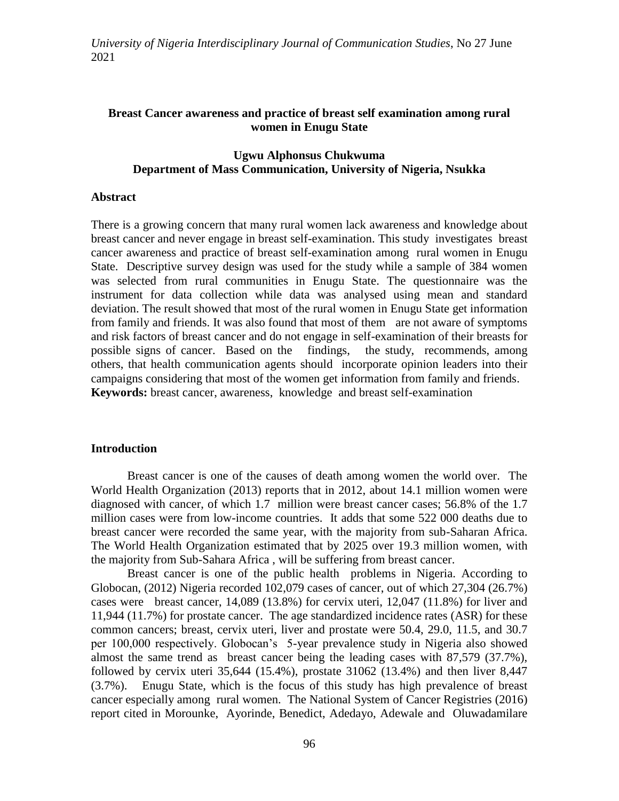### **Breast Cancer awareness and practice of breast self examination among rural women in Enugu State**

#### **Ugwu Alphonsus Chukwuma Department of Mass Communication, University of Nigeria, Nsukka**

#### **Abstract**

There is a growing concern that many rural women lack awareness and knowledge about breast cancer and never engage in breast self-examination. This study investigates breast cancer awareness and practice of breast self-examination among rural women in Enugu State. Descriptive survey design was used for the study while a sample of 384 women was selected from rural communities in Enugu State. The questionnaire was the instrument for data collection while data was analysed using mean and standard deviation. The result showed that most of the rural women in Enugu State get information from family and friends. It was also found that most of them are not aware of symptoms and risk factors of breast cancer and do not engage in self-examination of their breasts for possible signs of cancer. Based on the findings, the study, recommends, among others, that health communication agents should incorporate opinion leaders into their campaigns considering that most of the women get information from family and friends. **Keywords:** breast cancer, awareness, knowledge and breast self-examination

#### **Introduction**

Breast cancer is one of the causes of death among women the world over. The World Health Organization (2013) reports that in 2012, about 14.1 million women were diagnosed with cancer, of which 1.7 million were breast cancer cases; 56.8% of the 1.7 million cases were from low-income countries. It adds that some 522 000 deaths due to breast cancer were recorded the same year, with the majority from sub-Saharan Africa. The World Health Organization estimated that by 2025 over 19.3 million women, with the majority from Sub-Sahara Africa , will be suffering from breast cancer.

Breast cancer is one of the public health problems in Nigeria. According to Globocan, (2012) Nigeria recorded 102,079 cases of cancer, out of which 27,304 (26.7%) cases were breast cancer, 14,089 (13.8%) for cervix uteri, 12,047 (11.8%) for liver and 11,944 (11.7%) for prostate cancer. The age standardized incidence rates (ASR) for these common cancers; breast, cervix uteri, liver and prostate were 50.4, 29.0, 11.5, and 30.7 per 100,000 respectively. Globocan"s 5-year prevalence study in Nigeria also showed almost the same trend as breast cancer being the leading cases with 87,579 (37.7%), followed by cervix uteri 35,644 (15.4%), prostate 31062 (13.4%) and then liver 8,447 (3.7%). Enugu State, which is the focus of this study has high prevalence of breast cancer especially among rural women. The National System of Cancer Registries (2016) report cited in Morounke, Ayorinde, Benedict, Adedayo, Adewale and Oluwadamilare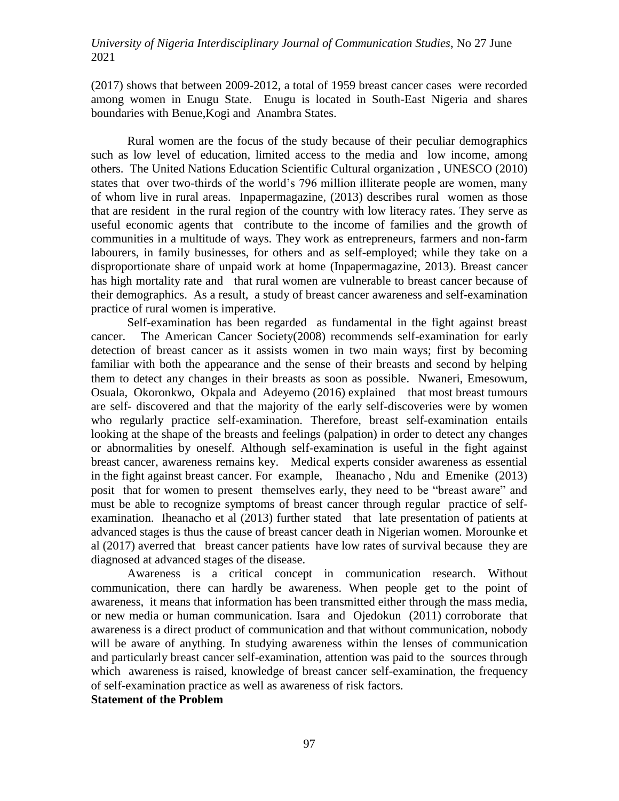(2017) shows that between 2009-2012, a total of 1959 breast cancer cases were recorded among women in Enugu State. Enugu is located in South-East Nigeria and shares boundaries with Benue,Kogi and Anambra States.

Rural women are the focus of the study because of their peculiar demographics such as low level of education, limited access to the media and low income, among others. The United Nations Education Scientific Cultural organization , UNESCO (2010) states that over two-thirds of the world's 796 million illiterate people are women, many of whom live in rural areas. Inpapermagazine, (2013) describes rural women as those that are resident in the rural region of the country with low literacy rates. They serve as useful economic agents that contribute to the income of families and the growth of communities in a multitude of ways. They work as entrepreneurs, farmers and non-farm labourers, in family businesses, for others and as self-employed; while they take on a disproportionate share of unpaid work at home (Inpapermagazine, 2013). Breast cancer has high mortality rate and that rural women are vulnerable to breast cancer because of their demographics. As a result, a study of breast cancer awareness and self-examination practice of rural women is imperative.

Self-examination has been regarded as fundamental in the fight against breast cancer. The American Cancer Society(2008) recommends self-examination for early detection of breast cancer as it assists women in two main ways; first by becoming familiar with both the appearance and the sense of their breasts and second by helping them to detect any changes in their breasts as soon as possible. Nwaneri, Emesowum, Osuala, Okoronkwo, Okpala and Adeyemo (2016) explained that most breast tumours are self- discovered and that the majority of the early self-discoveries were by women who regularly practice self-examination. Therefore, breast self-examination entails looking at the shape of the breasts and feelings (palpation) in order to detect any changes or abnormalities by oneself. Although self-examination is useful in the fight against breast cancer, awareness remains key. Medical experts consider awareness as essential in the fight against breast cancer. For example, Iheanacho , Ndu and Emenike (2013) posit that for women to present themselves early, they need to be "breast aware" and must be able to recognize symptoms of breast cancer through regular practice of selfexamination. Iheanacho et al (2013) further stated that late presentation of patients at advanced stages is thus the cause of breast cancer death in Nigerian women. Morounke et al (2017) averred that breast cancer patients have low rates of survival because they are diagnosed at advanced stages of the disease.

Awareness is a critical concept in communication research. Without communication, there can hardly be awareness. When people get to the point of awareness, it means that information has been transmitted either through the mass media, or new media or human communication. Isara and Ojedokun (2011) corroborate that awareness is a direct product of communication and that without communication, nobody will be aware of anything. In studying awareness within the lenses of communication and particularly breast cancer self-examination, attention was paid to the sources through which awareness is raised, knowledge of breast cancer self-examination, the frequency of self-examination practice as well as awareness of risk factors.

#### **Statement of the Problem**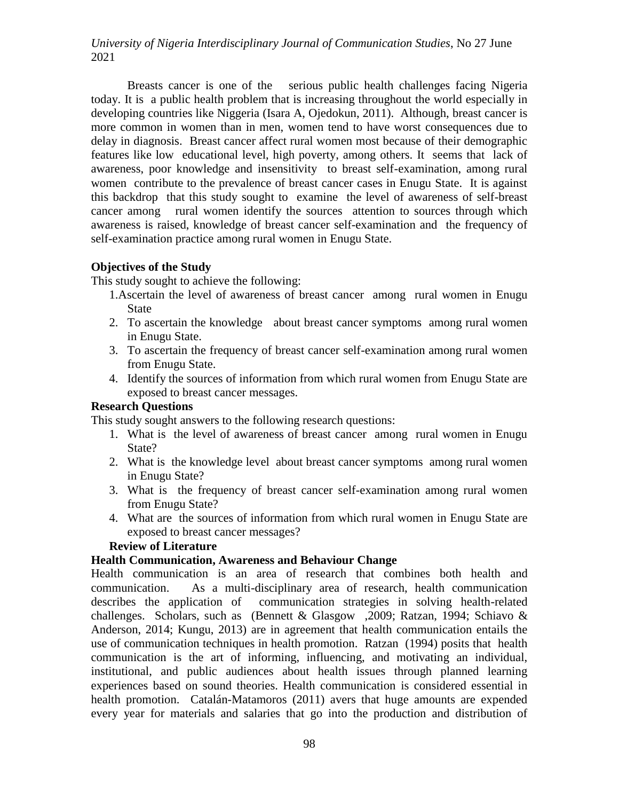Breasts cancer is one of the serious public health challenges facing Nigeria today. It is a public health problem that is increasing throughout the world especially in developing countries like Niggeria (Isara A, Ojedokun, 2011). Although, breast cancer is more common in women than in men, women tend to have worst consequences due to delay in diagnosis. Breast cancer affect rural women most because of their demographic features like low educational level, high poverty, among others. It seems that lack of awareness, poor knowledge and insensitivity to breast self-examination, among rural women contribute to the prevalence of breast cancer cases in Enugu State. It is against this backdrop that this study sought to examine the level of awareness of self-breast cancer among rural women identify the sources attention to sources through which awareness is raised, knowledge of breast cancer self-examination and the frequency of self-examination practice among rural women in Enugu State.

## **Objectives of the Study**

This study sought to achieve the following:

- 1.Ascertain the level of awareness of breast cancer among rural women in Enugu State
- 2. To ascertain the knowledge about breast cancer symptoms among rural women in Enugu State.
- 3. To ascertain the frequency of breast cancer self-examination among rural women from Enugu State.
- 4. Identify the sources of information from which rural women from Enugu State are exposed to breast cancer messages.

## **Research Questions**

This study sought answers to the following research questions:

- 1. What is the level of awareness of breast cancer among rural women in Enugu State?
- 2. What is the knowledge level about breast cancer symptoms among rural women in Enugu State?
- 3. What is the frequency of breast cancer self-examination among rural women from Enugu State?
- 4. What are the sources of information from which rural women in Enugu State are exposed to breast cancer messages?

## **Review of Literature**

## **Health Communication, Awareness and Behaviour Change**

Health communication is an area of research that combines both health and communication. As a multi-disciplinary area of research, health communication describes the application of communication strategies in solving health-related challenges. Scholars, such as (Bennett & Glasgow ,2009; Ratzan, 1994; Schiavo & Anderson, 2014; Kungu, 2013) are in agreement that health communication entails the use of communication techniques in health promotion. Ratzan (1994) posits that health communication is the art of informing, influencing, and motivating an individual, institutional, and public audiences about health issues through planned learning experiences based on sound theories. Health communication is considered essential in health promotion. Catalán-Matamoros (2011) avers that huge amounts are expended every year for materials and salaries that go into the production and distribution of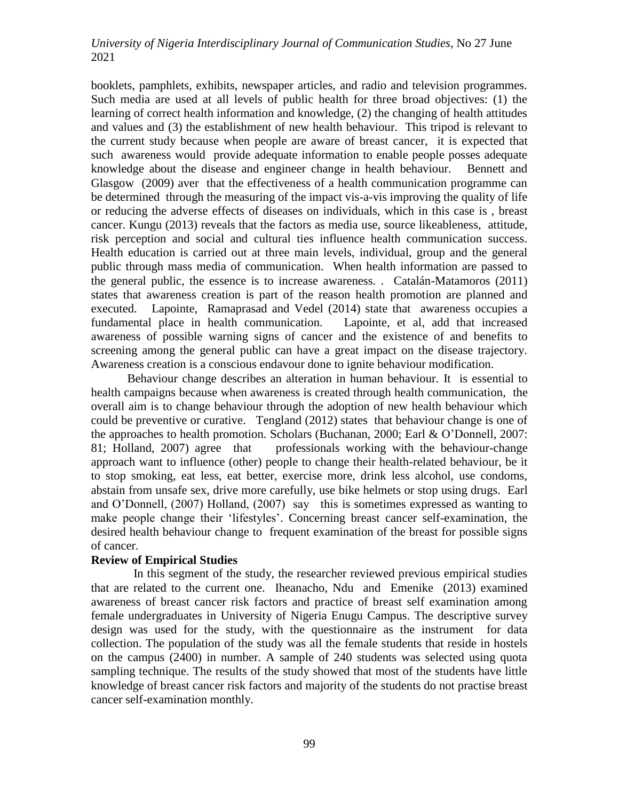booklets, pamphlets, exhibits, newspaper articles, and radio and television programmes. Such media are used at all levels of public health for three broad objectives: (1) the learning of correct health information and knowledge, (2) the changing of health attitudes and values and (3) the establishment of new health behaviour. This tripod is relevant to the current study because when people are aware of breast cancer, it is expected that such awareness would provide adequate information to enable people posses adequate knowledge about the disease and engineer change in health behaviour. Bennett and Glasgow (2009) aver that the effectiveness of a health communication programme can be determined through the measuring of the impact vis-a-vis improving the quality of life or reducing the adverse effects of diseases on individuals, which in this case is , breast cancer. Kungu (2013) reveals that the factors as media use, source likeableness, attitude, risk perception and social and cultural ties influence health communication success. Health education is carried out at three main levels, individual, group and the general public through mass media of communication. When health information are passed to the general public, the essence is to increase awareness. . Catalán-Matamoros (2011) states that awareness creation is part of the reason health promotion are planned and executed. Lapointe, Ramaprasad and Vedel (2014) state that awareness occupies a fundamental place in health communication. Lapointe, et al, add that increased awareness of possible warning signs of cancer and the existence of and benefits to screening among the general public can have a great impact on the disease trajectory. Awareness creation is a conscious endavour done to ignite behaviour modification.

 Behaviour change describes an alteration in human behaviour. It is essential to health campaigns because when awareness is created through health communication, the overall aim is to change behaviour through the adoption of new health behaviour which could be preventive or curative. Tengland (2012) states that behaviour change is one of the approaches to health promotion. Scholars (Buchanan, 2000; Earl & O"Donnell, 2007: 81; Holland, 2007) agree that professionals working with the behaviour-change approach want to influence (other) people to change their health-related behaviour, be it to stop smoking, eat less, eat better, exercise more, drink less alcohol, use condoms, abstain from unsafe sex, drive more carefully, use bike helmets or stop using drugs. Earl and O"Donnell, (2007) Holland, (2007) say this is sometimes expressed as wanting to make people change their "lifestyles". Concerning breast cancer self-examination, the desired health behaviour change to frequent examination of the breast for possible signs of cancer.

#### **Review of Empirical Studies**

 In this segment of the study, the researcher reviewed previous empirical studies that are related to the current one. Iheanacho, Ndu and Emenike (2013) examined awareness of breast cancer risk factors and practice of breast self examination among female undergraduates in University of Nigeria Enugu Campus. The descriptive survey design was used for the study, with the questionnaire as the instrument for data collection. The population of the study was all the female students that reside in hostels on the campus (2400) in number. A sample of 240 students was selected using quota sampling technique. The results of the study showed that most of the students have little knowledge of breast cancer risk factors and majority of the students do not practise breast cancer self-examination monthly.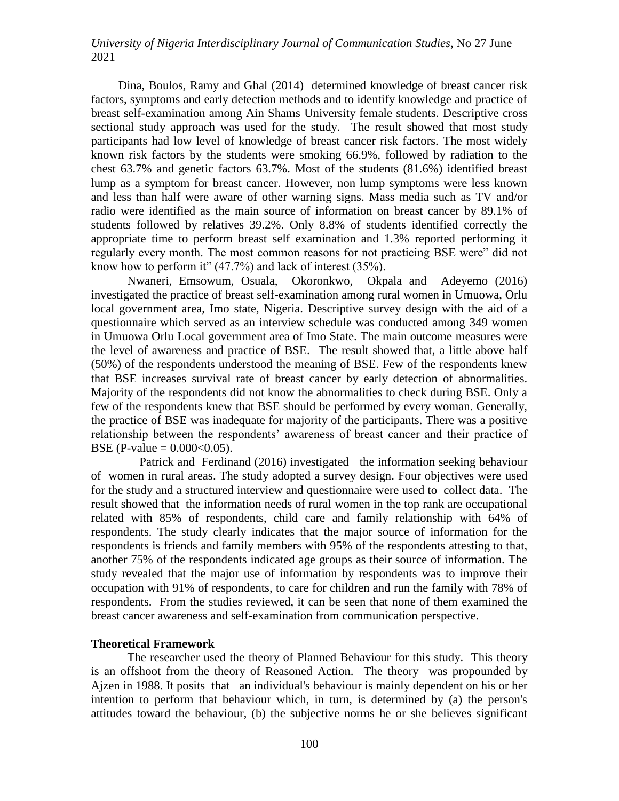Dina, Boulos, Ramy and Ghal (2014) determined knowledge of breast cancer risk factors, symptoms and early detection methods and to identify knowledge and practice of breast self-examination among Ain Shams University female students. Descriptive cross sectional study approach was used for the study. The result showed that most study participants had low level of knowledge of breast cancer risk factors. The most widely known risk factors by the students were smoking 66.9%, followed by radiation to the chest 63.7% and genetic factors 63.7%. Most of the students (81.6%) identified breast lump as a symptom for breast cancer. However, non lump symptoms were less known and less than half were aware of other warning signs. Mass media such as TV and/or radio were identified as the main source of information on breast cancer by 89.1% of students followed by relatives 39.2%. Only 8.8% of students identified correctly the appropriate time to perform breast self examination and 1.3% reported performing it regularly every month. The most common reasons for not practicing BSE were" did not know how to perform it" (47.7%) and lack of interest (35%).

Nwaneri, Emsowum, Osuala, Okoronkwo, Okpala and Adeyemo (2016) investigated the practice of breast self-examination among rural women in Umuowa, Orlu local government area, Imo state, Nigeria. Descriptive survey design with the aid of a questionnaire which served as an interview schedule was conducted among 349 women in Umuowa Orlu Local government area of Imo State. The main outcome measures were the level of awareness and practice of BSE. The result showed that, a little above half (50%) of the respondents understood the meaning of BSE. Few of the respondents knew that BSE increases survival rate of breast cancer by early detection of abnormalities. Majority of the respondents did not know the abnormalities to check during BSE. Only a few of the respondents knew that BSE should be performed by every woman. Generally, the practice of BSE was inadequate for majority of the participants. There was a positive relationship between the respondents' awareness of breast cancer and their practice of BSE (P-value =  $0.000 < 0.05$ ).

 Patrick and Ferdinand (2016) investigated the information seeking behaviour of women in rural areas. The study adopted a survey design. Four objectives were used for the study and a structured interview and questionnaire were used to collect data. The result showed that the information needs of rural women in the top rank are occupational related with 85% of respondents, child care and family relationship with 64% of respondents. The study clearly indicates that the major source of information for the respondents is friends and family members with 95% of the respondents attesting to that, another 75% of the respondents indicated age groups as their source of information. The study revealed that the major use of information by respondents was to improve their occupation with 91% of respondents, to care for children and run the family with 78% of respondents. From the studies reviewed, it can be seen that none of them examined the breast cancer awareness and self-examination from communication perspective.

#### **Theoretical Framework**

The researcher used the theory of Planned Behaviour for this study. This theory is an offshoot from the theory of Reasoned Action. The theory was propounded by Ajzen in 1988. It posits that an individual's behaviour is mainly dependent on his or her intention to perform that behaviour which, in turn, is determined by (a) the person's attitudes toward the behaviour, (b) the subjective norms he or she believes significant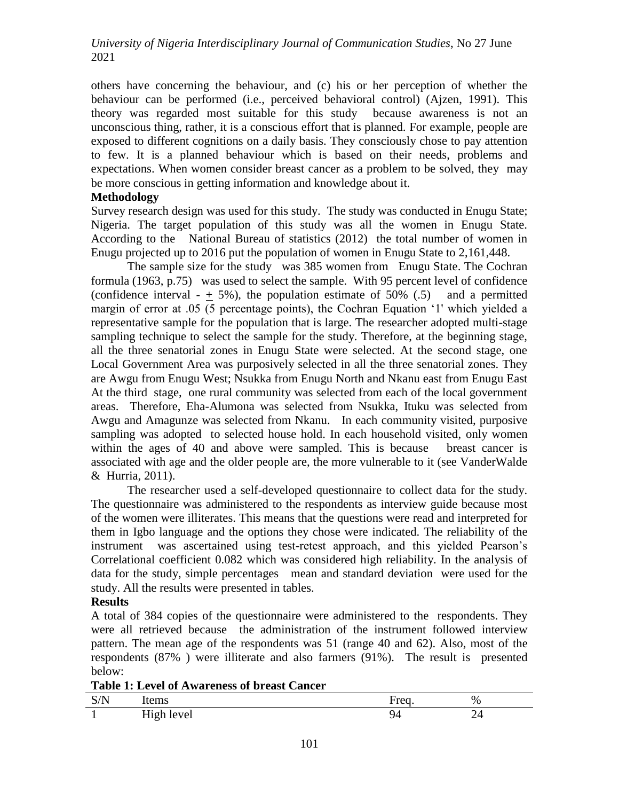others have concerning the behaviour, and (c) his or her perception of whether the behaviour can be performed (i.e., perceived behavioral control) (Ajzen, 1991). This theory was regarded most suitable for this study because awareness is not an unconscious thing, rather, it is a conscious effort that is planned. For example, people are exposed to different cognitions on a daily basis. They consciously chose to pay attention to few. It is a planned behaviour which is based on their needs, problems and expectations. When women consider breast cancer as a problem to be solved, they may be more conscious in getting information and knowledge about it.

### **Methodology**

Survey research design was used for this study. The study was conducted in Enugu State; Nigeria. The target population of this study was all the women in Enugu State. According to the National Bureau of statistics (2012) the total number of women in Enugu projected up to 2016 put the population of women in Enugu State to 2,161,448.

The sample size for the study was 385 women from Enugu State. The Cochran formula (1963, p.75) was used to select the sample. With 95 percent level of confidence (confidence interval -  $\pm$  5%), the population estimate of 50% (.5) and a permitted margin of error at .05 (5 percentage points), the Cochran Equation "1' which yielded a representative sample for the population that is large. The researcher adopted multi-stage sampling technique to select the sample for the study. Therefore, at the beginning stage, all the three senatorial zones in Enugu State were selected. At the second stage, one Local Government Area was purposively selected in all the three senatorial zones. They are Awgu from Enugu West; Nsukka from Enugu North and Nkanu east from Enugu East At the third stage, one rural community was selected from each of the local government areas. Therefore, Eha-Alumona was selected from Nsukka, Ituku was selected from Awgu and Amagunze was selected from Nkanu. In each community visited, purposive sampling was adopted to selected house hold. In each household visited, only women within the ages of 40 and above were sampled. This is because breast cancer is associated with age and the older people are, the more vulnerable to it (see VanderWalde & Hurria, 2011).

The researcher used a self-developed questionnaire to collect data for the study. The questionnaire was administered to the respondents as interview guide because most of the women were illiterates. This means that the questions were read and interpreted for them in Igbo language and the options they chose were indicated. The reliability of the instrument was ascertained using test-retest approach, and this yielded Pearson"s Correlational coefficient 0.082 which was considered high reliability. In the analysis of data for the study, simple percentages mean and standard deviation were used for the study. All the results were presented in tables.

### **Results**

A total of 384 copies of the questionnaire were administered to the respondents. They were all retrieved because the administration of the instrument followed interview pattern. The mean age of the respondents was 51 (range 40 and 62). Also, most of the respondents (87% ) were illiterate and also farmers (91%). The result is presented below:

**Table 1: Level of Awareness of breast Cancer**

| . $/ N$ | $-2$       | 14000  | $\%$ |
|---------|------------|--------|------|
| 11'     | Tuerns     | $-100$ |      |
|         | High level | ł/     |      |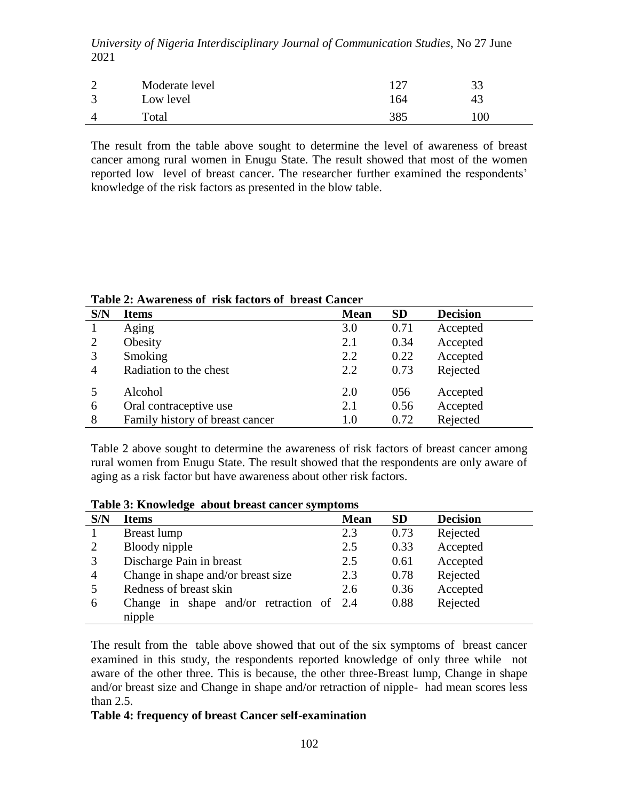| - | Moderate level     | ר 1        | 33  |
|---|--------------------|------------|-----|
|   | Low level<br>Total | 164<br>385 | 100 |
|   |                    |            |     |

The result from the table above sought to determine the level of awareness of breast cancer among rural women in Enugu State. The result showed that most of the women reported low level of breast cancer. The researcher further examined the respondents' knowledge of the risk factors as presented in the blow table.

| S/N            | <b>Items</b>                    | <b>Mean</b> | <b>SD</b> | <b>Decision</b> |
|----------------|---------------------------------|-------------|-----------|-----------------|
|                | Aging                           | 3.0         | 0.71      | Accepted        |
| 2              | Obesity                         | 2.1         | 0.34      | Accepted        |
| 3              | Smoking                         | 2.2         | 0.22      | Accepted        |
| $\overline{4}$ | Radiation to the chest          | 2.2         | 0.73      | Rejected        |
|                | Alcohol                         | 2.0         | 056       | Accepted        |
| 6              | Oral contraceptive use          | 2.1         | 0.56      | Accepted        |
| 8              | Family history of breast cancer | 1.0         | 0.72      | Rejected        |

**Table 2: Awareness of risk factors of breast Cancer** 

Table 2 above sought to determine the awareness of risk factors of breast cancer among rural women from Enugu State. The result showed that the respondents are only aware of aging as a risk factor but have awareness about other risk factors.

| Table 3: Knowledge about breast cancer symptoms |  |  |  |  |  |  |
|-------------------------------------------------|--|--|--|--|--|--|
|-------------------------------------------------|--|--|--|--|--|--|

| $\sim$ , $\sim$ |                                                  |             |           |                 |
|-----------------|--------------------------------------------------|-------------|-----------|-----------------|
| S/N             | <b>Items</b>                                     | <b>Mean</b> | <b>SD</b> | <b>Decision</b> |
|                 | Breast lump                                      | 2.3         | 0.73      | Rejected        |
| 2               | Bloody nipple                                    | 2.5         | 0.33      | Accepted        |
| 3               | Discharge Pain in breast                         | 2.5         | 0.61      | Accepted        |
| $\overline{4}$  | Change in shape and/or breast size               | 2.3         | 0.78      | Rejected        |
|                 | Redness of breast skin                           | 2.6         | 0.36      | Accepted        |
| 6               | shape and/or retraction of $2.4$<br>Change<br>in |             | 0.88      | Rejected        |
|                 | nipple                                           |             |           |                 |

The result from the table above showed that out of the six symptoms of breast cancer examined in this study, the respondents reported knowledge of only three while not aware of the other three. This is because, the other three-Breast lump, Change in shape and/or breast size and Change in shape and/or retraction of nipple- had mean scores less than 2.5.

### **Table 4: frequency of breast Cancer self-examination**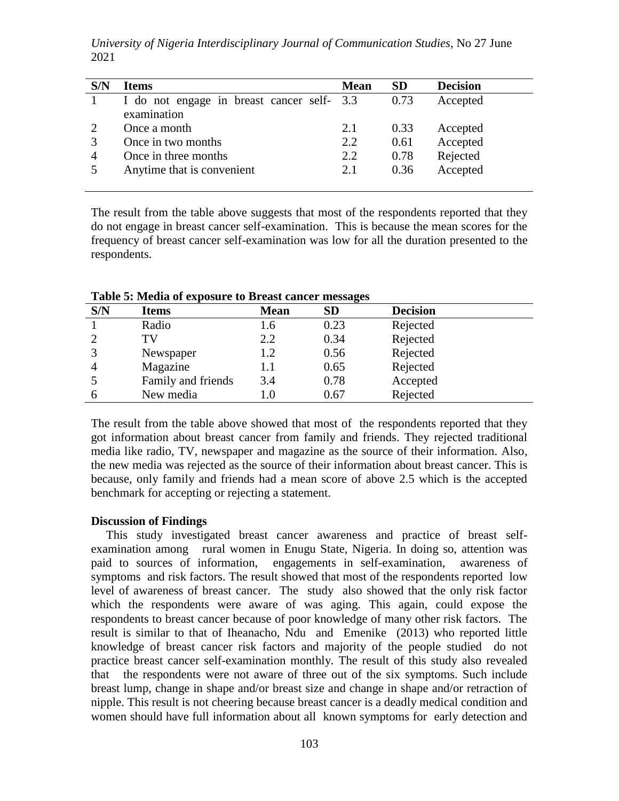*University of Nigeria Interdisciplinary Journal of Communication Studies*, No 27 June 2021

| S/N | <b>Items</b>                               | <b>Mean</b> | <b>SD</b> | <b>Decision</b> |
|-----|--------------------------------------------|-------------|-----------|-----------------|
|     | I do not engage in breast cancer self- 3.3 |             | 0.73      | Accepted        |
|     | examination                                |             |           |                 |
|     | Once a month                               | 2.1         | 0.33      | Accepted        |
| 3   | Once in two months                         | 2.2         | 0.61      | Accepted        |
| 4   | Once in three months                       | 2.2         | 0.78      | Rejected        |
|     | Anytime that is convenient                 | 2.1         | 0.36      | Accepted        |
|     |                                            |             |           |                 |

The result from the table above suggests that most of the respondents reported that they do not engage in breast cancer self-examination. This is because the mean scores for the frequency of breast cancer self-examination was low for all the duration presented to the respondents.

| S/N            | <b>Items</b>       | <b>Mean</b> | . .<br><b>SD</b> | <b>Decision</b> |
|----------------|--------------------|-------------|------------------|-----------------|
|                | Radio              | 1.6         | 0.23             | Rejected        |
| $\mathcal{D}$  | TV                 | 2.2         | 0.34             | Rejected        |
|                | Newspaper          | 1.2         | 0.56             | Rejected        |
| $\overline{A}$ | Magazine           | 1.1         | 0.65             | Rejected        |
|                | Family and friends | 3.4         | 0.78             | Accepted        |
| 6              | New media          | $1.0\,$     | 0.67             | Rejected        |

**Table 5: Media of exposure to Breast cancer messages**

The result from the table above showed that most of the respondents reported that they got information about breast cancer from family and friends. They rejected traditional media like radio, TV, newspaper and magazine as the source of their information. Also, the new media was rejected as the source of their information about breast cancer. This is because, only family and friends had a mean score of above 2.5 which is the accepted benchmark for accepting or rejecting a statement.

#### **Discussion of Findings**

 This study investigated breast cancer awareness and practice of breast selfexamination among rural women in Enugu State, Nigeria. In doing so, attention was paid to sources of information, engagements in self-examination, awareness of symptoms and risk factors. The result showed that most of the respondents reported low level of awareness of breast cancer. The study also showed that the only risk factor which the respondents were aware of was aging. This again, could expose the respondents to breast cancer because of poor knowledge of many other risk factors. The result is similar to that of Iheanacho, Ndu and Emenike (2013) who reported little knowledge of breast cancer risk factors and majority of the people studied do not practice breast cancer self-examination monthly. The result of this study also revealed that the respondents were not aware of three out of the six symptoms. Such include breast lump, change in shape and/or breast size and change in shape and/or retraction of nipple. This result is not cheering because breast cancer is a deadly medical condition and women should have full information about all known symptoms for early detection and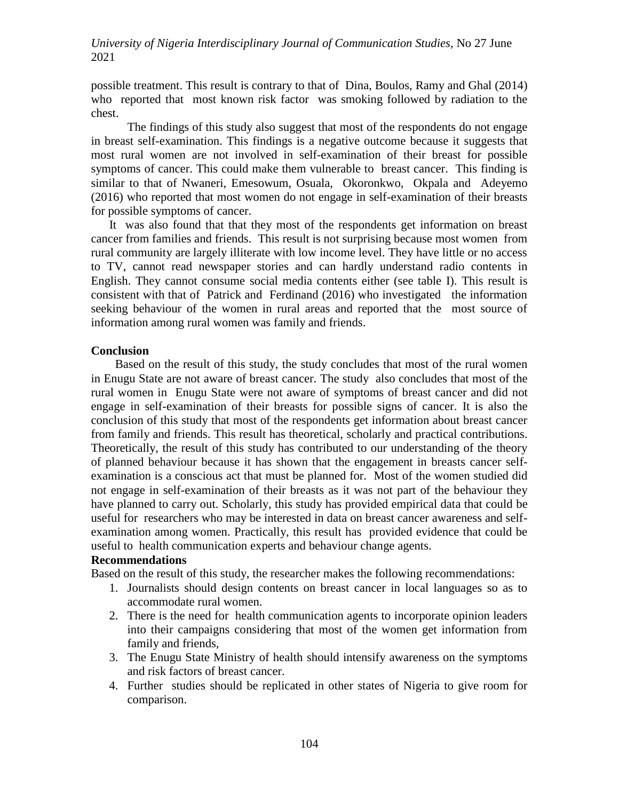possible treatment. This result is contrary to that of Dina, Boulos, Ramy and Ghal (2014) who reported that most known risk factor was smoking followed by radiation to the chest.

The findings of this study also suggest that most of the respondents do not engage in breast self-examination. This findings is a negative outcome because it suggests that most rural women are not involved in self-examination of their breast for possible symptoms of cancer. This could make them vulnerable to breast cancer. This finding is similar to that of Nwaneri, Emesowum, Osuala, Okoronkwo, Okpala and Adeyemo (2016) who reported that most women do not engage in self-examination of their breasts for possible symptoms of cancer.

 It was also found that that they most of the respondents get information on breast cancer from families and friends. This result is not surprising because most women from rural community are largely illiterate with low income level. They have little or no access to TV, cannot read newspaper stories and can hardly understand radio contents in English. They cannot consume social media contents either (see table I). This result is consistent with that of Patrick and Ferdinand (2016) who investigated the information seeking behaviour of the women in rural areas and reported that the most source of information among rural women was family and friends.

### **Conclusion**

 Based on the result of this study, the study concludes that most of the rural women in Enugu State are not aware of breast cancer. The study also concludes that most of the rural women in Enugu State were not aware of symptoms of breast cancer and did not engage in self-examination of their breasts for possible signs of cancer. It is also the conclusion of this study that most of the respondents get information about breast cancer from family and friends. This result has theoretical, scholarly and practical contributions. Theoretically, the result of this study has contributed to our understanding of the theory of planned behaviour because it has shown that the engagement in breasts cancer selfexamination is a conscious act that must be planned for. Most of the women studied did not engage in self-examination of their breasts as it was not part of the behaviour they have planned to carry out. Scholarly, this study has provided empirical data that could be useful for researchers who may be interested in data on breast cancer awareness and selfexamination among women. Practically, this result has provided evidence that could be useful to health communication experts and behaviour change agents.

### **Recommendations**

Based on the result of this study, the researcher makes the following recommendations:

- 1. Journalists should design contents on breast cancer in local languages so as to accommodate rural women.
- 2. There is the need for health communication agents to incorporate opinion leaders into their campaigns considering that most of the women get information from family and friends,
- 3. The Enugu State Ministry of health should intensify awareness on the symptoms and risk factors of breast cancer.
- 4. Further studies should be replicated in other states of Nigeria to give room for comparison.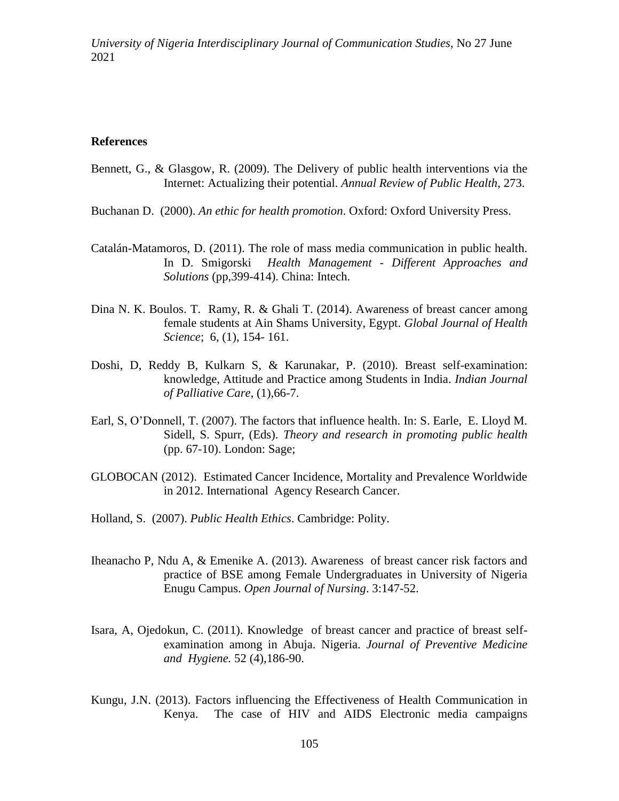#### **References**

- Bennett, G., & Glasgow, R. (2009). The Delivery of public health interventions via the Internet: Actualizing their potential. *Annual Review of Public Health*, 273.
- Buchanan D. (2000). *An ethic for health promotion*. Oxford: Oxford University Press.
- Catalán-Matamoros, D. (2011). The role of mass media communication in public health. In D. Smigorski *Health Management - Different Approaches and Solutions* (pp,399-414). China: Intech.
- Dina N. K. Boulos. T. Ramy, R. & Ghali T. (2014). Awareness of breast cancer among female students at Ain Shams University, Egypt. *Global Journal of Health Science*; 6, (1), 154- 161.
- Doshi, D, Reddy B, Kulkarn S, & Karunakar, P. (2010). Breast self-examination: knowledge, Attitude and Practice among Students in India. *Indian Journal of Palliative Care*, (1),66-7.
- Earl, S, O"Donnell, T. (2007). The factors that influence health. In: S. Earle, E. Lloyd M. Sidell, S. Spurr, (Eds). *Theory and research in promoting public health*  (pp. 67-10). London: Sage;
- GLOBOCAN (2012). Estimated Cancer Incidence, Mortality and Prevalence Worldwide in 2012. International Agency Research Cancer.
- Holland, S. (2007). *Public Health Ethics*. Cambridge: Polity.
- Iheanacho P, Ndu A, & Emenike A. (2013). Awareness of breast cancer risk factors and practice of BSE among Female Undergraduates in University of Nigeria Enugu Campus. *Open Journal of Nursing*. 3:147-52.
- Isara, A, Ojedokun, C. (2011). Knowledge of breast cancer and practice of breast selfexamination among in Abuja. Nigeria. *Journal of Preventive Medicine and Hygiene.* 52 (4),186-90.
- Kungu, J.N. (2013). Factors influencing the Effectiveness of Health Communication in Kenya. The case of HIV and AIDS Electronic media campaigns